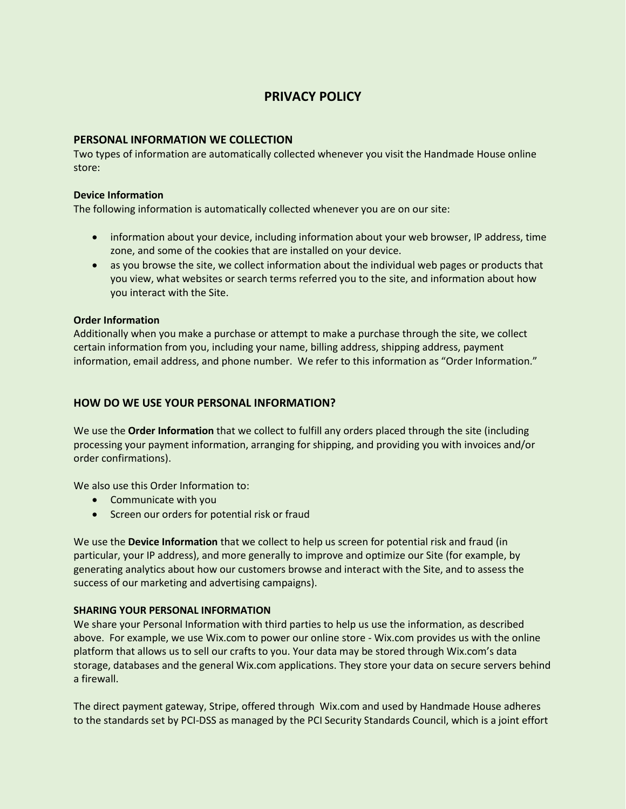# **PRIVACY POLICY**

# **PERSONAL INFORMATION WE COLLECTION**

Two types of information are automatically collected whenever you visit the Handmade House online store:

## **Device Information**

The following information is automatically collected whenever you are on our site:

- information about your device, including information about your web browser, IP address, time zone, and some of the cookies that are installed on your device.
- as you browse the site, we collect information about the individual web pages or products that you view, what websites or search terms referred you to the site, and information about how you interact with the Site.

# **Order Information**

Additionally when you make a purchase or attempt to make a purchase through the site, we collect certain information from you, including your name, billing address, shipping address, payment information, email address, and phone number. We refer to this information as "Order Information."

# **HOW DO WE USE YOUR PERSONAL INFORMATION?**

We use the **Order Information** that we collect to fulfill any orders placed through the site (including processing your payment information, arranging for shipping, and providing you with invoices and/or order confirmations).

We also use this Order Information to:

- Communicate with you
- Screen our orders for potential risk or fraud

We use the **Device Information** that we collect to help us screen for potential risk and fraud (in particular, your IP address), and more generally to improve and optimize our Site (for example, by generating analytics about how our customers browse and interact with the Site, and to assess the success of our marketing and advertising campaigns).

# **SHARING YOUR PERSONAL INFORMATION**

We share your Personal Information with third parties to help us use the information, as described above. For example, we use Wix.com to power our online store - Wix.com provides us with the online platform that allows us to sell our crafts to you. Your data may be stored through Wix.com's data storage, databases and the general Wix.com applications. They store your data on secure servers behind a firewall.

The direct payment gateway, Stripe, offered through Wix.com and used by Handmade House adheres to the standards set by PCI-DSS as managed by the PCI Security Standards Council, which is a joint effort